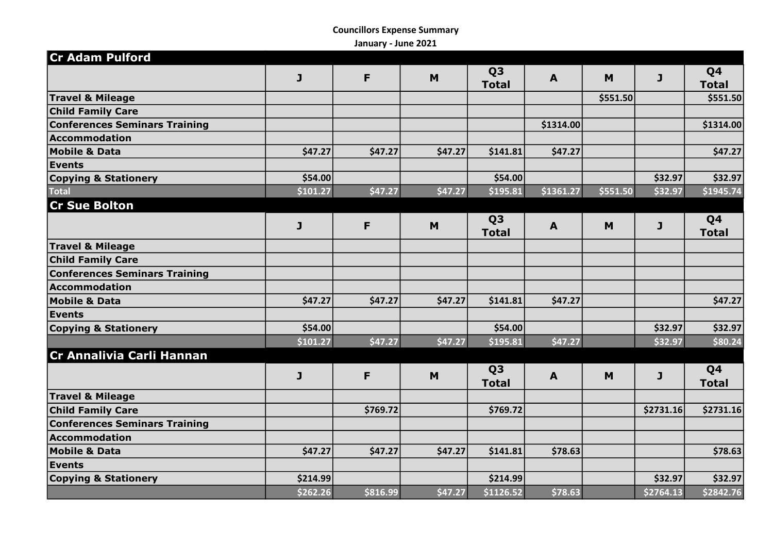## Councillors Expense Summary

January - June 2021

| <b>Cr Adam Pulford</b>               |          |          |         |                                |              |          |              |                                |
|--------------------------------------|----------|----------|---------|--------------------------------|--------------|----------|--------------|--------------------------------|
|                                      | J        | F        | M       | Q <sub>3</sub><br><b>Total</b> | $\mathbf{A}$ | M        | $\mathbf{J}$ | Q <sub>4</sub><br><b>Total</b> |
| <b>Travel &amp; Mileage</b>          |          |          |         |                                |              | \$551.50 |              | \$551.50                       |
| <b>Child Family Care</b>             |          |          |         |                                |              |          |              |                                |
| <b>Conferences Seminars Training</b> |          |          |         |                                | \$1314.00    |          |              | \$1314.00                      |
| <b>Accommodation</b>                 |          |          |         |                                |              |          |              |                                |
| <b>Mobile &amp; Data</b>             | \$47.27  | \$47.27  | \$47.27 | \$141.81                       | \$47.27      |          |              | \$47.27                        |
| Events                               |          |          |         |                                |              |          |              |                                |
| <b>Copying &amp; Stationery</b>      | \$54.00  |          |         | \$54.00                        |              |          | \$32.97      | \$32.97                        |
| <b>Total</b>                         | \$101.27 | \$47.27  | \$47.27 | \$195.81                       | \$1361.27    | \$551.50 | \$32.97      | \$1945.74                      |
| <b>Cr Sue Bolton</b>                 |          |          |         |                                |              |          |              |                                |
|                                      | J        | F        | M       | Q <sub>3</sub><br><b>Total</b> | $\mathbf{A}$ | M        | $\mathbf{J}$ | Q4<br><b>Total</b>             |
| <b>Travel &amp; Mileage</b>          |          |          |         |                                |              |          |              |                                |
| <b>Child Family Care</b>             |          |          |         |                                |              |          |              |                                |
| <b>Conferences Seminars Training</b> |          |          |         |                                |              |          |              |                                |
| <b>Accommodation</b>                 |          |          |         |                                |              |          |              |                                |
| <b>Mobile &amp; Data</b>             | \$47.27  | \$47.27  | \$47.27 | \$141.81                       | \$47.27      |          |              | \$47.27                        |
| <b>Events</b>                        |          |          |         |                                |              |          |              |                                |
| <b>Copying &amp; Stationery</b>      | \$54.00  |          |         | \$54.00                        |              |          | \$32.97      | \$32.97                        |
|                                      | \$101.27 | \$47.27  | \$47.27 | \$195.81                       | \$47.27      |          | \$32.97      | \$80.24                        |
| Cr Annalivia Carli Hannan            |          |          |         |                                |              |          |              |                                |
|                                      | J        | F        | M       | Q <sub>3</sub><br><b>Total</b> | $\mathbf{A}$ | M        | $\mathbf{J}$ | Q4<br><b>Total</b>             |
| <b>Travel &amp; Mileage</b>          |          |          |         |                                |              |          |              |                                |
| <b>Child Family Care</b>             |          | \$769.72 |         | \$769.72                       |              |          | \$2731.16    | \$2731.16                      |
| <b>Conferences Seminars Training</b> |          |          |         |                                |              |          |              |                                |
| <b>Accommodation</b>                 |          |          |         |                                |              |          |              |                                |
| <b>Mobile &amp; Data</b>             | \$47.27  | \$47.27  | \$47.27 | \$141.81                       | \$78.63      |          |              | \$78.63                        |
| <b>Events</b>                        |          |          |         |                                |              |          |              |                                |
| <b>Copying &amp; Stationery</b>      | \$214.99 |          |         | \$214.99                       |              |          | \$32.97      | \$32.97                        |
|                                      | \$262.26 | \$816.99 | \$47.27 | \$1126.52                      | \$78.63      |          | \$2764.13    | \$2842.76                      |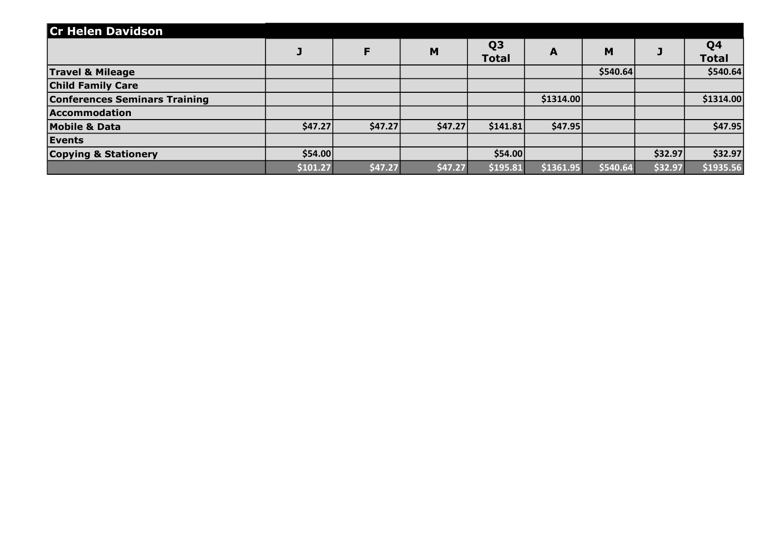| <b>Cr Helen Davidson</b>             |          |         |         |                                |           |           |         |                                |
|--------------------------------------|----------|---------|---------|--------------------------------|-----------|-----------|---------|--------------------------------|
|                                      |          | F       | M       | Q <sub>3</sub><br><b>Total</b> | A         | M         |         | Q <sub>4</sub><br><b>Total</b> |
| <b>Travel &amp; Mileage</b>          |          |         |         |                                |           | \$540.64] |         | \$540.64                       |
| <b>Child Family Care</b>             |          |         |         |                                |           |           |         |                                |
| <b>Conferences Seminars Training</b> |          |         |         |                                | \$1314.00 |           |         | \$1314.00                      |
| Accommodation                        |          |         |         |                                |           |           |         |                                |
| <b>Mobile &amp; Data</b>             | \$47.27  | \$47.27 | \$47.27 | \$141.81                       | \$47.95   |           |         | \$47.95                        |
| Events                               |          |         |         |                                |           |           |         |                                |
| <b>Copying &amp; Stationery</b>      | \$54.00  |         |         | \$54.00                        |           |           | \$32.97 | \$32.97                        |
|                                      | \$101.27 | \$47.27 | \$47.27 | \$195.81                       | \$1361.95 | \$540.64  | \$32.97 | \$1935.56                      |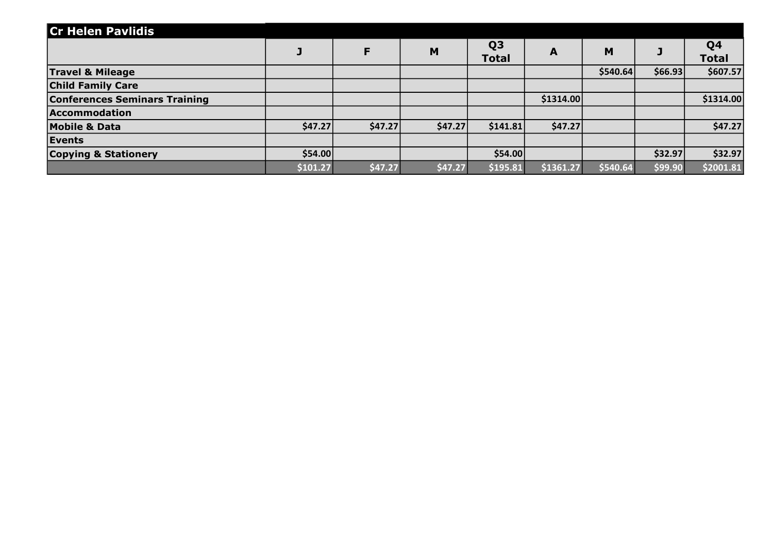| <b>Cr Helen Pavlidis</b>             |          |         |         |                                |           |           |         |                    |
|--------------------------------------|----------|---------|---------|--------------------------------|-----------|-----------|---------|--------------------|
|                                      |          | F       | M       | Q <sub>3</sub><br><b>Total</b> | A         | M         |         | Q4<br><b>Total</b> |
| <b>Travel &amp; Mileage</b>          |          |         |         |                                |           | \$540.64] | \$66.93 | \$607.57           |
| <b>Child Family Care</b>             |          |         |         |                                |           |           |         |                    |
| <b>Conferences Seminars Training</b> |          |         |         |                                | \$1314.00 |           |         | \$1314.00          |
| Accommodation                        |          |         |         |                                |           |           |         |                    |
| <b>Mobile &amp; Data</b>             | \$47.27  | \$47.27 | \$47.27 | \$141.81                       | \$47.27   |           |         | \$47.27            |
| Events                               |          |         |         |                                |           |           |         |                    |
| <b>Copying &amp; Stationery</b>      | \$54.00  |         |         | \$54.00                        |           |           | \$32.97 | \$32.97            |
|                                      | \$101.27 | \$47.27 | \$47.27 | \$195.81                       | \$1361.27 | \$540.64  | \$99.90 | \$2001.81          |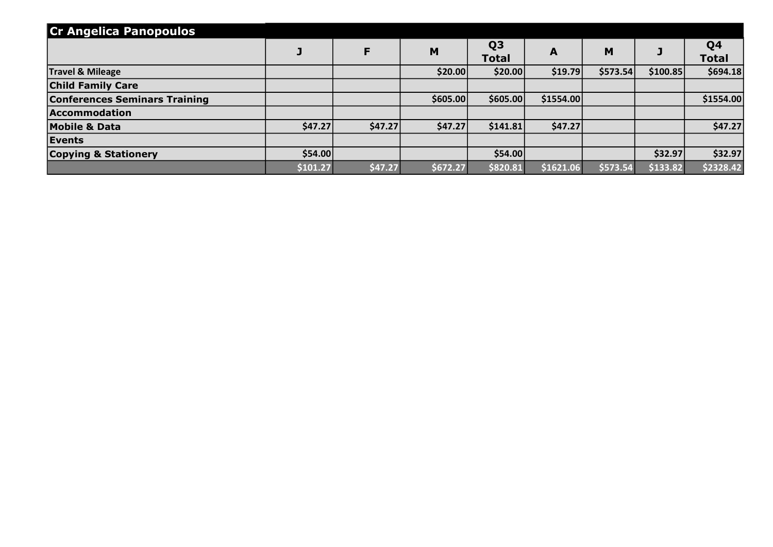| <b>Cr Angelica Panopoulos</b>        |          |         |          |                                |           |          |          |                                |
|--------------------------------------|----------|---------|----------|--------------------------------|-----------|----------|----------|--------------------------------|
|                                      |          | F       | M        | Q <sub>3</sub><br><b>Total</b> | A         | M        |          | Q <sub>4</sub><br><b>Total</b> |
| <b>Travel &amp; Mileage</b>          |          |         | \$20.00  | \$20.00                        | \$19.79   | \$573.54 | \$100.85 | \$694.18                       |
| <b>Child Family Care</b>             |          |         |          |                                |           |          |          |                                |
| <b>Conferences Seminars Training</b> |          |         | \$605.00 | \$605.00                       | \$1554.00 |          |          | \$1554.00                      |
| Accommodation                        |          |         |          |                                |           |          |          |                                |
| <b>Mobile &amp; Data</b>             | \$47.27  | \$47.27 | \$47.27  | \$141.81                       | \$47.27   |          |          | \$47.27                        |
| Events                               |          |         |          |                                |           |          |          |                                |
| <b>Copying &amp; Stationery</b>      | \$54.00  |         |          | \$54.00                        |           |          | \$32.97  | \$32.97                        |
|                                      | \$101.27 | \$47.27 | \$672.27 | \$820.81                       | \$1621.06 | \$573.54 | \$133.82 | \$2328.42                      |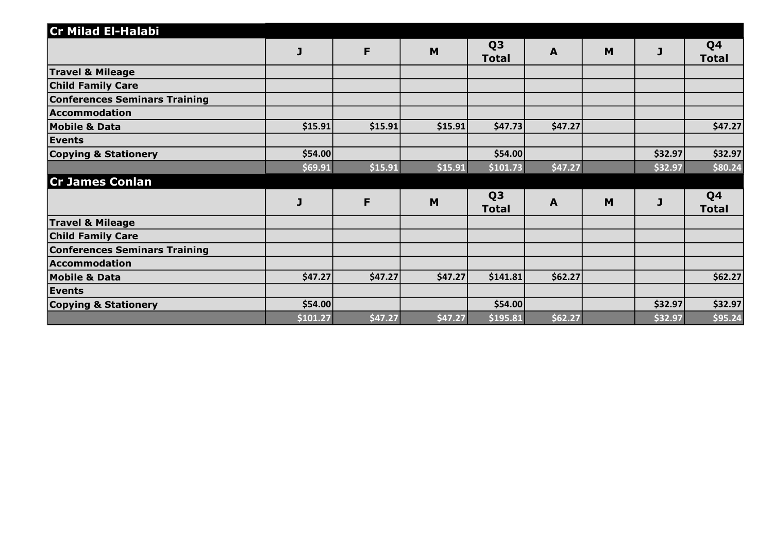| <b>Cr Milad El-Halabi</b>            |          |         |         |                                |              |   |         |                                |
|--------------------------------------|----------|---------|---------|--------------------------------|--------------|---|---------|--------------------------------|
|                                      | J        | F       | M       | Q <sub>3</sub><br><b>Total</b> | $\mathbf{A}$ | M | J       | Q <sub>4</sub><br><b>Total</b> |
| <b>Travel &amp; Mileage</b>          |          |         |         |                                |              |   |         |                                |
| <b>Child Family Care</b>             |          |         |         |                                |              |   |         |                                |
| <b>Conferences Seminars Training</b> |          |         |         |                                |              |   |         |                                |
| Accommodation                        |          |         |         |                                |              |   |         |                                |
| <b>Mobile &amp; Data</b>             | \$15.91  | \$15.91 | \$15.91 | \$47.73                        | \$47.27      |   |         | \$47.27                        |
| <b>Events</b>                        |          |         |         |                                |              |   |         |                                |
| <b>Copying &amp; Stationery</b>      | \$54.00  |         |         | \$54.00                        |              |   | \$32.97 | \$32.97                        |
|                                      | \$69.91  | \$15.91 | \$15.91 | \$101.73                       | \$47.27      |   | \$32.97 | \$80.24                        |
| <b>Cr James Conlan</b>               |          |         |         |                                |              |   |         |                                |
|                                      | J        | F       | M       | Q <sub>3</sub><br><b>Total</b> | A            | M | J       | Q <sub>4</sub><br><b>Total</b> |
| <b>Travel &amp; Mileage</b>          |          |         |         |                                |              |   |         |                                |
| <b>Child Family Care</b>             |          |         |         |                                |              |   |         |                                |
| <b>Conferences Seminars Training</b> |          |         |         |                                |              |   |         |                                |
| Accommodation                        |          |         |         |                                |              |   |         |                                |
| <b>Mobile &amp; Data</b>             | \$47.27  | \$47.27 | \$47.27 | \$141.81                       | \$62.27      |   |         | \$62.27                        |
| Events                               |          |         |         |                                |              |   |         |                                |
| <b>Copying &amp; Stationery</b>      | \$54.00  |         |         | \$54.00                        |              |   | \$32.97 | \$32.97                        |
|                                      | \$101.27 | \$47.27 | \$47.27 | \$195.81                       | \$62.27      |   | \$32.97 | \$95.24                        |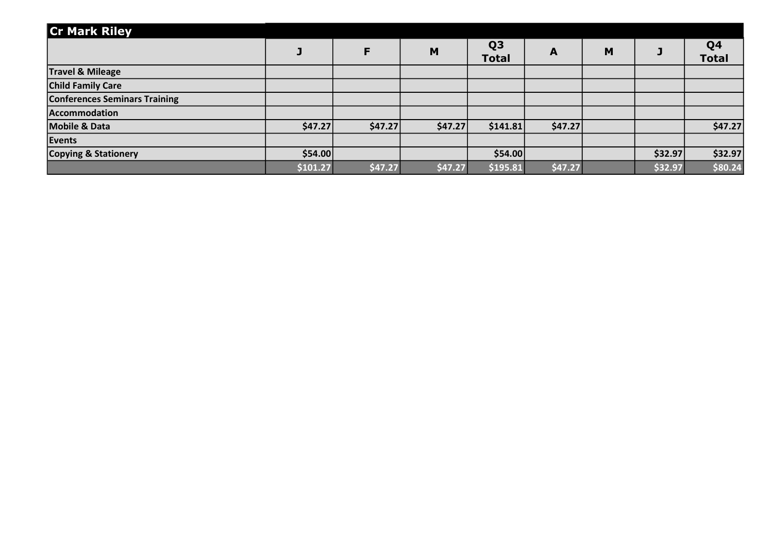| <b>Cr Mark Riley</b>                 |          |         |         |                                |         |   |         |                                |
|--------------------------------------|----------|---------|---------|--------------------------------|---------|---|---------|--------------------------------|
|                                      |          | F       | M       | Q <sub>3</sub><br><b>Total</b> | A       | M |         | Q <sub>4</sub><br><b>Total</b> |
| <b>Travel &amp; Mileage</b>          |          |         |         |                                |         |   |         |                                |
| <b>Child Family Care</b>             |          |         |         |                                |         |   |         |                                |
| <b>Conferences Seminars Training</b> |          |         |         |                                |         |   |         |                                |
| Accommodation                        |          |         |         |                                |         |   |         |                                |
| <b>Mobile &amp; Data</b>             | \$47.27  | \$47.27 | \$47.27 | \$141.81                       | \$47.27 |   |         | \$47.27                        |
| Events                               |          |         |         |                                |         |   |         |                                |
| <b>Copying &amp; Stationery</b>      | \$54.00  |         |         | \$54.00                        |         |   | \$32.97 | \$32.97                        |
|                                      | \$101.27 | \$47.27 | \$47.27 | \$195.81                       | \$47.27 |   | \$32.97 | \$80.24                        |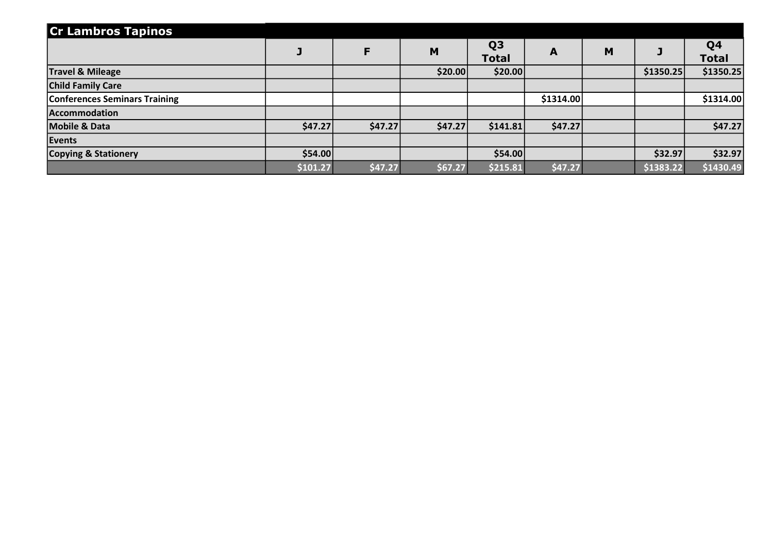| <b>Cr Lambros Tapinos</b>            |          |         |         |                                |           |   |           |                                |
|--------------------------------------|----------|---------|---------|--------------------------------|-----------|---|-----------|--------------------------------|
|                                      |          | F       | M       | Q <sub>3</sub><br><b>Total</b> | A         | M |           | Q <sub>4</sub><br><b>Total</b> |
| <b>Travel &amp; Mileage</b>          |          |         | \$20.00 | \$20.00                        |           |   | \$1350.25 | \$1350.25                      |
| <b>Child Family Care</b>             |          |         |         |                                |           |   |           |                                |
| <b>Conferences Seminars Training</b> |          |         |         |                                | \$1314.00 |   |           | \$1314.00                      |
| Accommodation                        |          |         |         |                                |           |   |           |                                |
| <b>Mobile &amp; Data</b>             | \$47.27  | \$47.27 | \$47.27 | \$141.81                       | \$47.27   |   |           | \$47.27                        |
| Events                               |          |         |         |                                |           |   |           |                                |
| Copying & Stationery                 | \$54.00  |         |         | \$54.00                        |           |   | \$32.97   | \$32.97                        |
|                                      | \$101.27 | \$47.27 | \$67.27 | \$215.81                       | \$47.27   |   | \$1383.22 | \$1430.49                      |